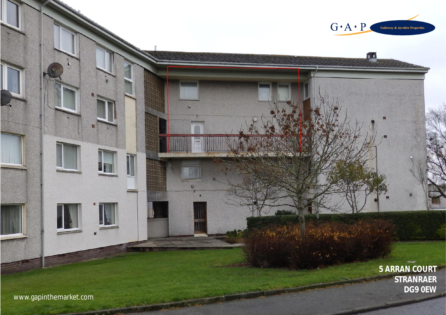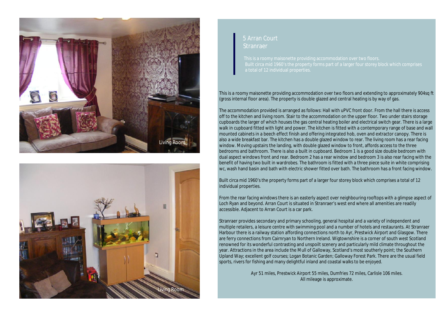



## 5 Arran Court Stranraer

a total of 12 individual properties.

This is a roomy maisonette providing accommodation over two floors and extending to approximately 904sq ft (gross internal floor area). The property is double glazed and central heating is by way of gas.

The accommodation provided is arranged as follows: Hall with uPVC front door. From the hall there is access off to the kitchen and living room. Stair to the accommodation on the upper floor. Two under stairs storage cupboards the larger of which houses the gas central heating boiler and electrical switch gear. There is a large walk in cupboard fitted with light and power. The kitchen is fitted with a contemporary range of base and wall mounted cabinets in a beech effect finish and offering integrated hob, oven and extractor canopy. There is also a wide breakfast bar. The kitchen has a double glazed window to rear. The living room has a rear facing window. Moving upstairs the landing, with double glazed window to front, affords access to the three bedrooms and bathroom. There is also a built in cupboard. Bedroom 1 is a good size double bedroom with dual aspect windows front and rear. Bedroom 2 has a rear window and bedroom 3 is also rear facing with the benefit of having two built in wardrobes. The bathroom is fitted with a three piece suite in white comprising wc, wash hand basin and bath with electric shower fitted over bath. The bathroom has a front facing window.

Built circa mid 1960's the property forms part of a larger four storey block which comprises a total of 12 individual properties.

From the rear facing windows there is an easterly aspect over neighbouring rooftops with a glimpse aspect of Loch Ryan and beyond. Arran Court is situated in Stranraer's west end where all amenities are readily accessible. Adjacent to Arran Court is a car park.

Stranraer provides secondary and primary schooling, general hospital and a variety of independent and multiple retailers, a leisure centre with swimming pool and a number of hotels and restaurants. At Stranraer Harbour there is a railway station affording connections north to Ayr, Prestwick Airport and Glasgow. There are ferry connections from Cairnryan to Northern Ireland. Wigtownshire is a corner of south west Scotland renowned for its wonderful contrasting and unspoilt scenery and particularly mild climate throughout the year. Attractions in the area include the Mull of Galloway, Scotland's most southerly point; the Southern Upland Way; excellent golf courses; Logan Botanic Garden; Galloway Forest Park. There are the usual field sports, rivers for fishing and many delightful inland and coastal walks to be enjoyed.

> Ayr 51 miles, Prestwick Airport 55 miles, Dumfries 72 miles, Carlisle 106 miles. All mileage is approximate.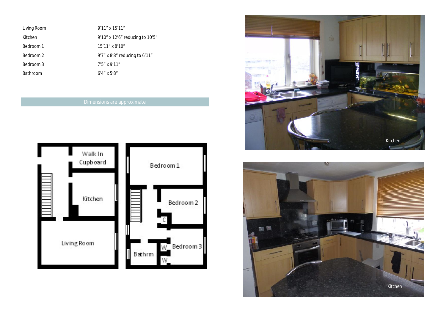| Living Room     | $9'11''$ x $15'11''$            |  |
|-----------------|---------------------------------|--|
| Kitchen         | 9'10" x 12'6" reducing to 10'5" |  |
| Bedroom 1       | 15'11" x 8'10"                  |  |
| Bedroom 2       | 9'7" x 8'8" reducing to 6'11"   |  |
| Bedroom 3       | $7'5''$ x 9'11"                 |  |
| <b>Bathroom</b> | $6'4''$ x 5'8"                  |  |

# Dimensions are approximate





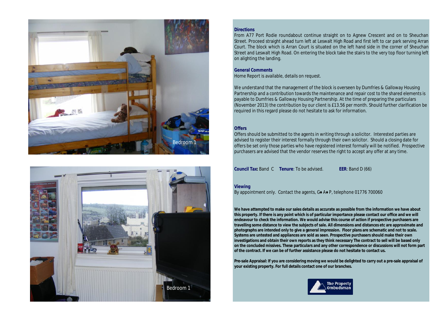



#### **Directions**

From A77 Port Rodie roundabout continue straight on to Agnew Crescent and on to Sheuchan Street. Proceed straight ahead turn left at Leswalt High Road and first left to car park serving Arran Court. The block which is Arran Court is situated on the left hand side in the corner of Sheuchan Street and Leswalt High Road. On entering the block take the stairs to the very top floor turning left on alighting the landing.

#### **General Comments**  Home Report is available, details on request.

We understand that the management of the block is overseen by Dumfries & Galloway Housing Partnership and a contribution towards the maintenance and repair cost to the shared elements is payable to Dumfries & Galloway Housing Partnership. At the time of preparing the particulars (November 2013) the contribution by our client is £13.56 per month. Should further clarification be required in this regard please do not hesitate to ask for information.

### **Offers**

Offers should be submitted to the agents in writing through a solicitor. Interested parties are advised to register their interest formally through their own solicitor. Should a closing date for offers be set only those parties who have registered interest formally will be notified. Prospective purchasers are advised that the vendor reserves the right to accept any offer at any time.

**Council Tax:** Band C **Tenure**: To be advised. **EER**: Band D (66)

# **Viewing**

By appointment only. Contact the agents, G♦ A♦ P, telephone 01776 700060

**We have attempted to make our sales details as accurate as possible from the information we have about this property. If there is any point which is of particular importance please contact our office and we will endeavour to check the information. We would advise this course of action if prospective purchasers are travelling some distance to view the subjects of sale. All dimensions and distances etc are approximate and photographs are intended only to give a general impression. Floor plans are schematic and not to scale. Systems are untested and appliances are sold as seen. Prospective purchasers should make their own investigations and obtain their own reports as they think necessary The contract to sell will be based only on the concluded missives. These particulars and any other correspondence or discussions will not form part of the contract. If we can be of further assistance please do not hesitate to contact us.** 

**Pre-sale Appraisal: If you are considering moving we would be delighted to carry out a pre-sale appraisal of your existing property. For full details contact one of our branches.**